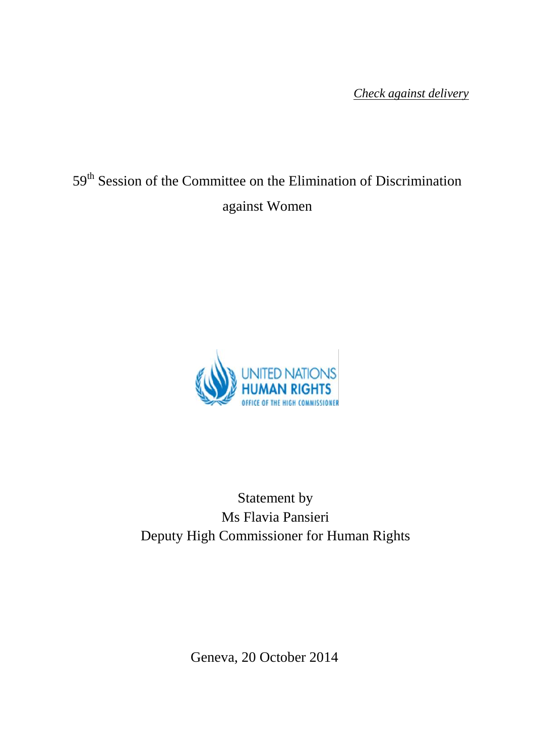*Check against delivery*

# 59<sup>th</sup> Session of the Committee on the Elimination of Discrimination against Women



# Statement by Ms Flavia Pansieri Deputy High Commissioner for Human Rights

Geneva, 20 October 2014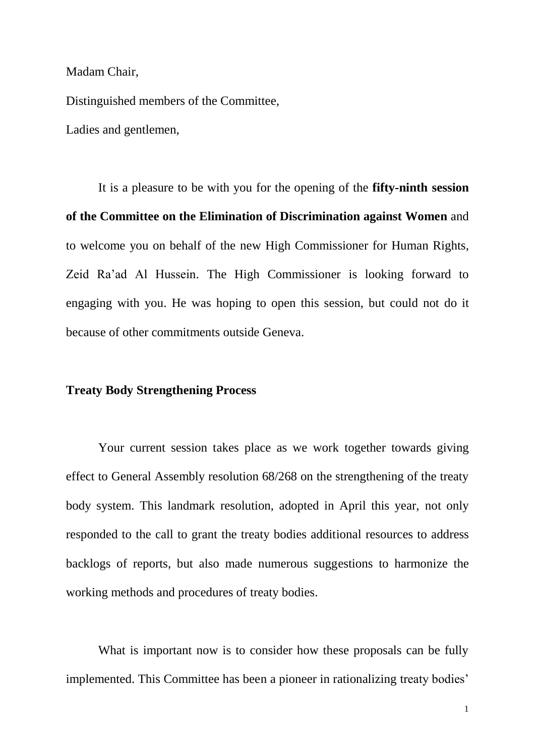Madam Chair,

Distinguished members of the Committee,

Ladies and gentlemen,

It is a pleasure to be with you for the opening of the **fifty-ninth session of the Committee on the Elimination of Discrimination against Women** and to welcome you on behalf of the new High Commissioner for Human Rights, Zeid Ra'ad Al Hussein. The High Commissioner is looking forward to engaging with you. He was hoping to open this session, but could not do it because of other commitments outside Geneva.

## **Treaty Body Strengthening Process**

Your current session takes place as we work together towards giving effect to General Assembly resolution 68/268 on the strengthening of the treaty body system. This landmark resolution, adopted in April this year, not only responded to the call to grant the treaty bodies additional resources to address backlogs of reports, but also made numerous suggestions to harmonize the working methods and procedures of treaty bodies.

What is important now is to consider how these proposals can be fully implemented. This Committee has been a pioneer in rationalizing treaty bodies'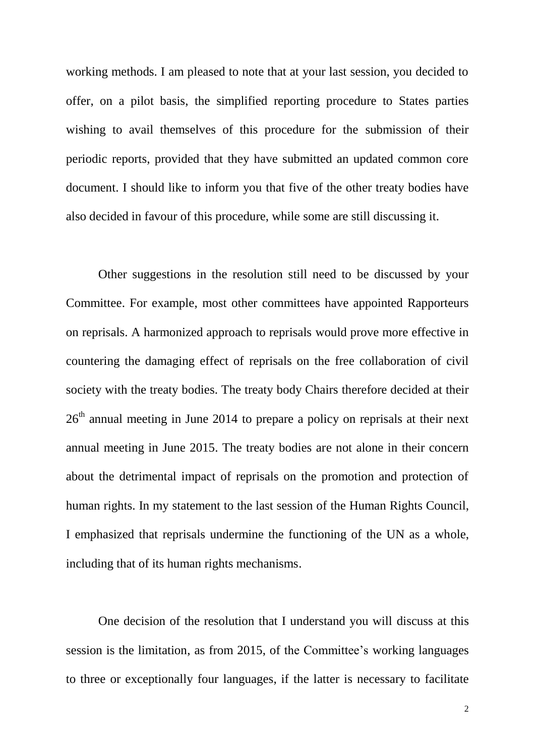working methods. I am pleased to note that at your last session, you decided to offer, on a pilot basis, the simplified reporting procedure to States parties wishing to avail themselves of this procedure for the submission of their periodic reports, provided that they have submitted an updated common core document. I should like to inform you that five of the other treaty bodies have also decided in favour of this procedure, while some are still discussing it.

Other suggestions in the resolution still need to be discussed by your Committee. For example, most other committees have appointed Rapporteurs on reprisals. A harmonized approach to reprisals would prove more effective in countering the damaging effect of reprisals on the free collaboration of civil society with the treaty bodies. The treaty body Chairs therefore decided at their  $26<sup>th</sup>$  annual meeting in June 2014 to prepare a policy on reprisals at their next annual meeting in June 2015. The treaty bodies are not alone in their concern about the detrimental impact of reprisals on the promotion and protection of human rights. In my statement to the last session of the Human Rights Council, I emphasized that reprisals undermine the functioning of the UN as a whole, including that of its human rights mechanisms.

One decision of the resolution that I understand you will discuss at this session is the limitation, as from 2015, of the Committee's working languages to three or exceptionally four languages, if the latter is necessary to facilitate

2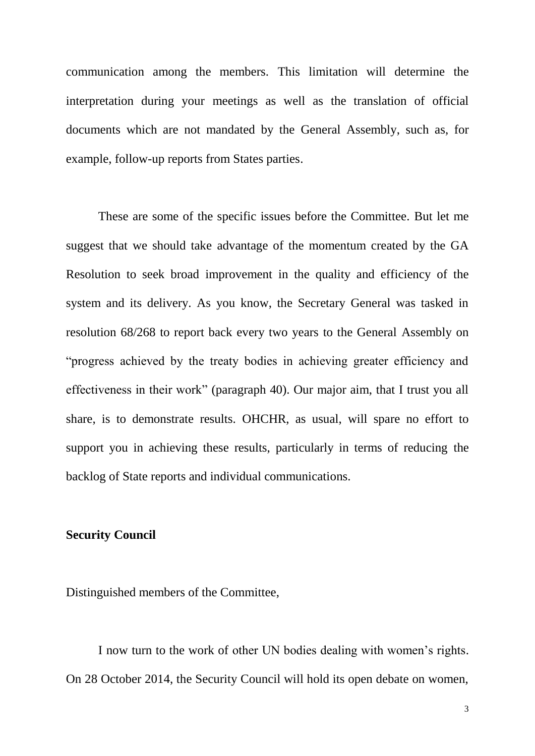communication among the members. This limitation will determine the interpretation during your meetings as well as the translation of official documents which are not mandated by the General Assembly, such as, for example, follow-up reports from States parties.

These are some of the specific issues before the Committee. But let me suggest that we should take advantage of the momentum created by the GA Resolution to seek broad improvement in the quality and efficiency of the system and its delivery. As you know, the Secretary General was tasked in resolution 68/268 to report back every two years to the General Assembly on "progress achieved by the treaty bodies in achieving greater efficiency and effectiveness in their work" (paragraph 40). Our major aim, that I trust you all share, is to demonstrate results. OHCHR, as usual, will spare no effort to support you in achieving these results, particularly in terms of reducing the backlog of State reports and individual communications.

#### **Security Council**

Distinguished members of the Committee,

I now turn to the work of other UN bodies dealing with women's rights. On 28 October 2014, the Security Council will hold its open debate on women,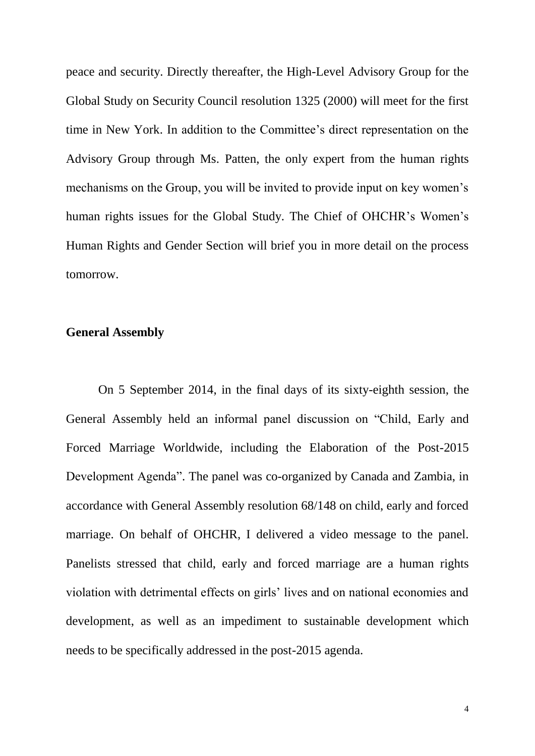peace and security. Directly thereafter, the High-Level Advisory Group for the Global Study on Security Council resolution 1325 (2000) will meet for the first time in New York. In addition to the Committee's direct representation on the Advisory Group through Ms. Patten, the only expert from the human rights mechanisms on the Group, you will be invited to provide input on key women's human rights issues for the Global Study. The Chief of OHCHR's Women's Human Rights and Gender Section will brief you in more detail on the process tomorrow.

#### **General Assembly**

On 5 September 2014, in the final days of its sixty-eighth session, the General Assembly held an informal panel discussion on "Child, Early and Forced Marriage Worldwide, including the Elaboration of the Post-2015 Development Agenda". The panel was co-organized by Canada and Zambia, in accordance with General Assembly resolution 68/148 on child, early and forced marriage. On behalf of OHCHR, I delivered a video message to the panel. Panelists stressed that child, early and forced marriage are a human rights violation with detrimental effects on girls' lives and on national economies and development, as well as an impediment to sustainable development which needs to be specifically addressed in the post-2015 agenda.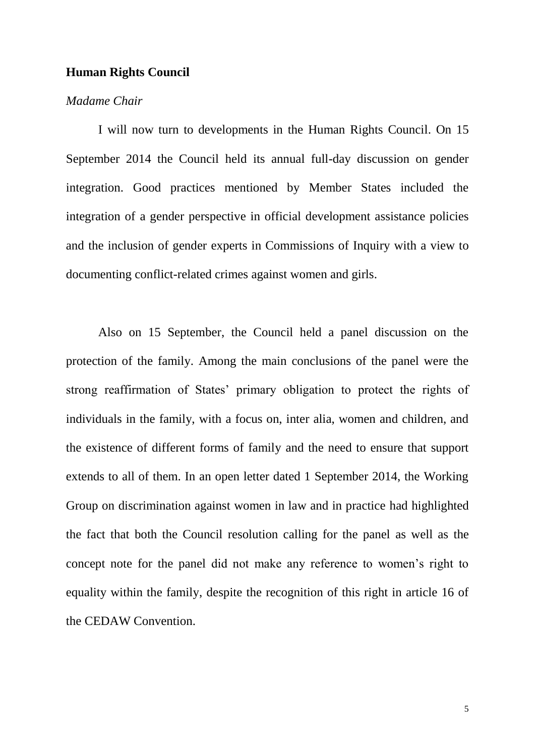#### **Human Rights Council**

#### *Madame Chair*

I will now turn to developments in the Human Rights Council. On 15 September 2014 the Council held its annual full-day discussion on gender integration. Good practices mentioned by Member States included the integration of a gender perspective in official development assistance policies and the inclusion of gender experts in Commissions of Inquiry with a view to documenting conflict-related crimes against women and girls.

Also on 15 September, the Council held a panel discussion on the protection of the family. Among the main conclusions of the panel were the strong reaffirmation of States' primary obligation to protect the rights of individuals in the family, with a focus on, inter alia, women and children, and the existence of different forms of family and the need to ensure that support extends to all of them. In an open letter dated 1 September 2014, the Working Group on discrimination against women in law and in practice had highlighted the fact that both the Council resolution calling for the panel as well as the concept note for the panel did not make any reference to women's right to equality within the family, despite the recognition of this right in article 16 of the CEDAW Convention.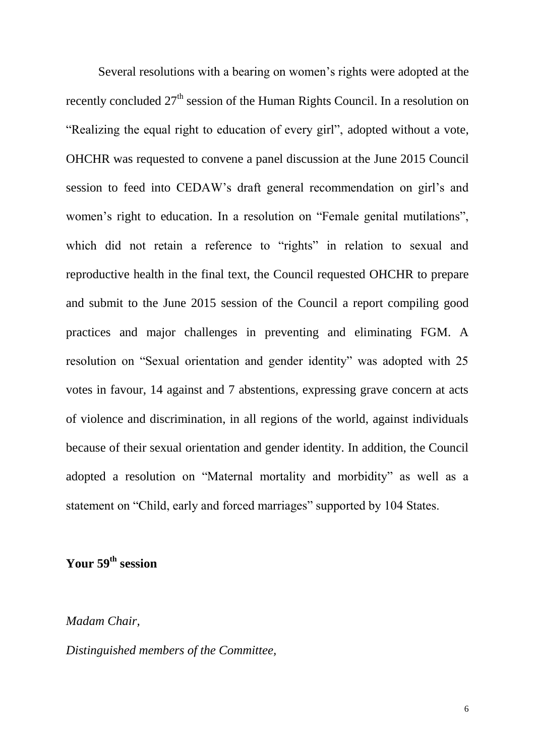Several resolutions with a bearing on women's rights were adopted at the recently concluded  $27<sup>th</sup>$  session of the Human Rights Council. In a resolution on "Realizing the equal right to education of every girl", adopted without a vote, OHCHR was requested to convene a panel discussion at the June 2015 Council session to feed into CEDAW's draft general recommendation on girl's and women's right to education. In a resolution on "Female genital mutilations", which did not retain a reference to "rights" in relation to sexual and reproductive health in the final text, the Council requested OHCHR to prepare and submit to the June 2015 session of the Council a report compiling good practices and major challenges in preventing and eliminating FGM. A resolution on "Sexual orientation and gender identity" was adopted with 25 votes in favour, 14 against and 7 abstentions, expressing grave concern at acts of violence and discrimination, in all regions of the world, against individuals because of their sexual orientation and gender identity. In addition, the Council adopted a resolution on "Maternal mortality and morbidity" as well as a statement on "Child, early and forced marriages" supported by 104 States.

### **Your 59 th session**

#### *Madam Chair,*

*Distinguished members of the Committee,*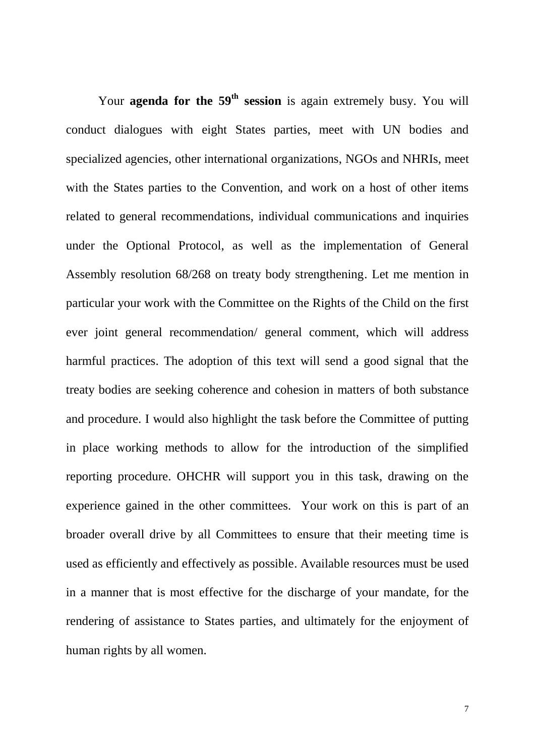Your **agenda for the 59<sup>th</sup> session** is again extremely busy. You will conduct dialogues with eight States parties, meet with UN bodies and specialized agencies, other international organizations, NGOs and NHRIs, meet with the States parties to the Convention, and work on a host of other items related to general recommendations, individual communications and inquiries under the Optional Protocol, as well as the implementation of General Assembly resolution 68/268 on treaty body strengthening. Let me mention in particular your work with the Committee on the Rights of the Child on the first ever joint general recommendation/ general comment, which will address harmful practices. The adoption of this text will send a good signal that the treaty bodies are seeking coherence and cohesion in matters of both substance and procedure. I would also highlight the task before the Committee of putting in place working methods to allow for the introduction of the simplified reporting procedure. OHCHR will support you in this task, drawing on the experience gained in the other committees. Your work on this is part of an broader overall drive by all Committees to ensure that their meeting time is used as efficiently and effectively as possible. Available resources must be used in a manner that is most effective for the discharge of your mandate, for the rendering of assistance to States parties, and ultimately for the enjoyment of human rights by all women.